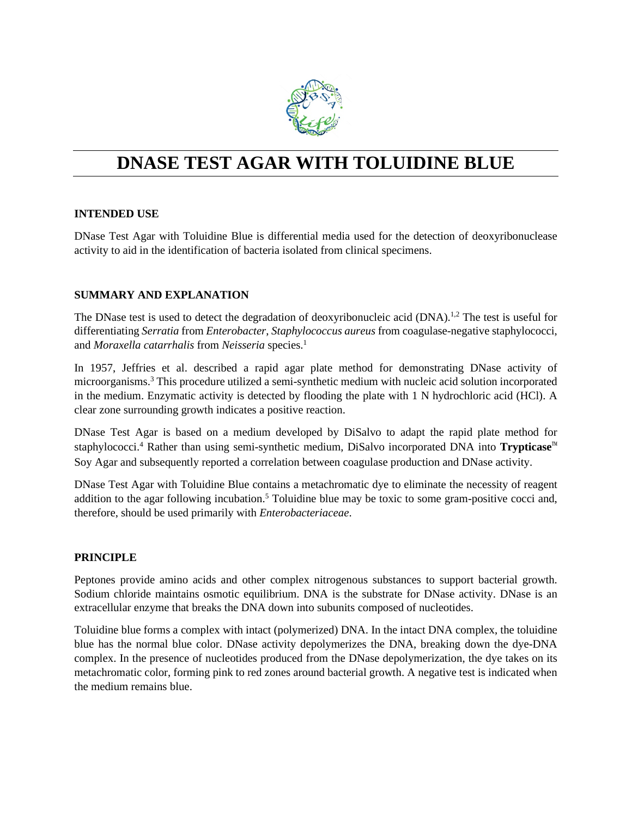

# **DNASE TEST AGAR WITH TOLUIDINE BLUE**

# **INTENDED USE**

DNase Test Agar with Toluidine Blue is differential media used for the detection of deoxyribonuclease activity to aid in the identification of bacteria isolated from clinical specimens.

# **SUMMARY AND EXPLANATION**

The DNase test is used to detect the degradation of deoxyribonucleic acid (DNA).<sup>1,2</sup> The test is useful for differentiating *Serratia* from *Enterobacter*, *Staphylococcus aureus* from coagulase-negative staphylococci, and *Moraxella catarrhalis* from *Neisseria* species.1

In 1957, Jeffries et al. described a rapid agar plate method for demonstrating DNase activity of microorganisms.3 This procedure utilized a semi-synthetic medium with nucleic acid solution incorporated in the medium. Enzymatic activity is detected by flooding the plate with 1 N hydrochloric acid (HCl). A clear zone surrounding growth indicates a positive reaction.

DNase Test Agar is based on a medium developed by DiSalvo to adapt the rapid plate method for staphylococci.4 Rather than using semi-synthetic medium, DiSalvo incorporated DNA into **Trypticase**™ Soy Agar and subsequently reported a correlation between coagulase production and DNase activity.

DNase Test Agar with Toluidine Blue contains a metachromatic dye to eliminate the necessity of reagent addition to the agar following incubation.<sup>5</sup> Toluidine blue may be toxic to some gram-positive cocci and, therefore, should be used primarily with *Enterobacteriaceae*.

#### **PRINCIPLE**

Peptones provide amino acids and other complex nitrogenous substances to support bacterial growth. Sodium chloride maintains osmotic equilibrium. DNA is the substrate for DNase activity. DNase is an extracellular enzyme that breaks the DNA down into subunits composed of nucleotides.

Toluidine blue forms a complex with intact (polymerized) DNA. In the intact DNA complex, the toluidine blue has the normal blue color. DNase activity depolymerizes the DNA, breaking down the dye-DNA complex. In the presence of nucleotides produced from the DNase depolymerization, the dye takes on its metachromatic color, forming pink to red zones around bacterial growth. A negative test is indicated when the medium remains blue.